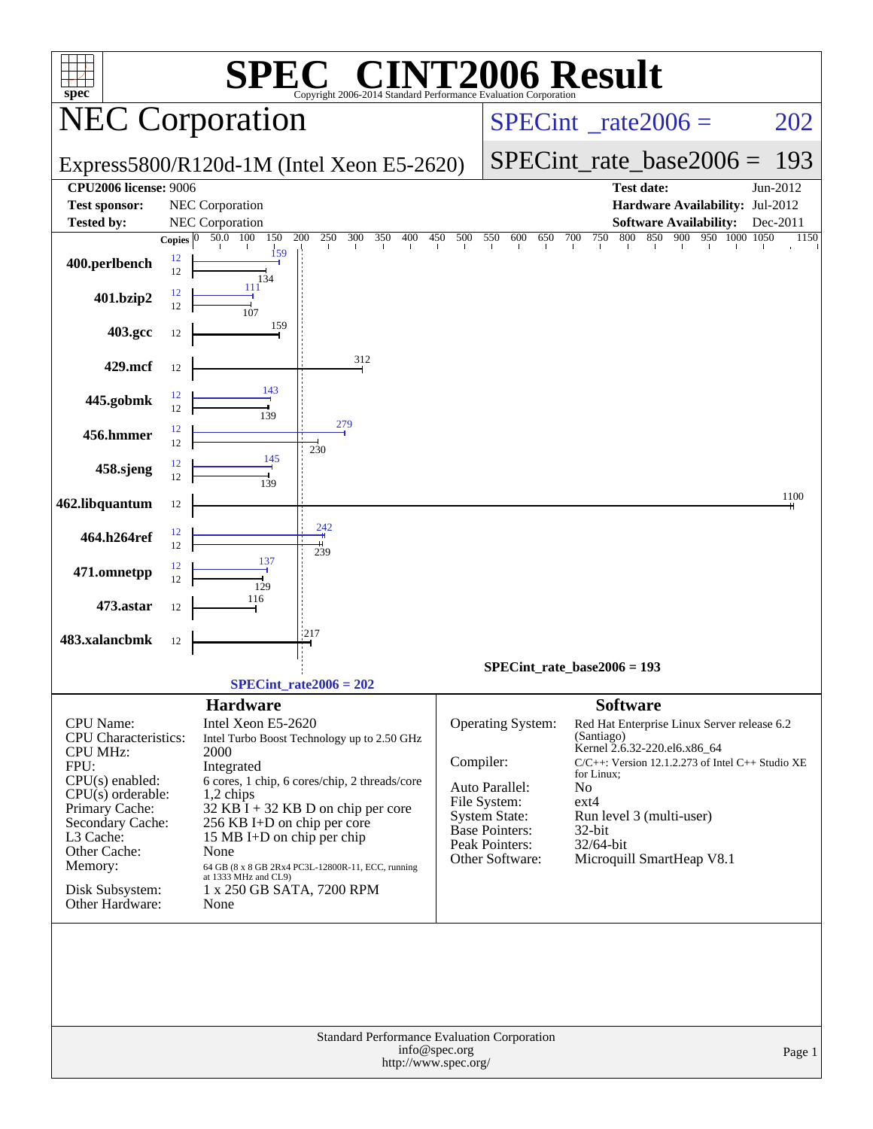| <b>INT2006 Result</b><br>$\bigcap$<br>SPI<br>$spec^*$<br>Copyright 2006-2014 Standard Performance Evaluation Corporation |              |                                               |                                                                           |                                          |                                               |                               |                                                                             |          |  |  |  |
|--------------------------------------------------------------------------------------------------------------------------|--------------|-----------------------------------------------|---------------------------------------------------------------------------|------------------------------------------|-----------------------------------------------|-------------------------------|-----------------------------------------------------------------------------|----------|--|--|--|
|                                                                                                                          |              | <b>NEC Corporation</b>                        |                                                                           | $SPECint^{\circ}$ <sub>_rate2006</sub> = |                                               |                               | 202                                                                         |          |  |  |  |
|                                                                                                                          |              |                                               | Express5800/R120d-1M (Intel Xeon E5-2620)                                 |                                          |                                               | $SPECint_rate_base2006 =$     | 193                                                                         |          |  |  |  |
| <b>CPU2006 license: 9006</b>                                                                                             |              |                                               |                                                                           |                                          |                                               |                               | <b>Test date:</b>                                                           | Jun-2012 |  |  |  |
| <b>Test sponsor:</b>                                                                                                     |              | NEC Corporation                               |                                                                           |                                          |                                               |                               | Hardware Availability: Jul-2012                                             |          |  |  |  |
| <b>Tested by:</b>                                                                                                        |              | NEC Corporation                               |                                                                           |                                          |                                               |                               | <b>Software Availability:</b>                                               | Dec-2011 |  |  |  |
|                                                                                                                          | Copies $ 0 $ | 50.0 100<br>150                               | 200<br>250<br>300<br>$350 - 400$                                          | 450 500                                  | 550<br>600<br>650 700                         |                               | 750 800 850 900 950 1000 1050                                               | 1150     |  |  |  |
| 400.perlbench                                                                                                            | 12<br>12     | 159<br>134                                    |                                                                           |                                          |                                               |                               |                                                                             |          |  |  |  |
| 401.bzip2                                                                                                                | 12<br>12     | 111                                           |                                                                           |                                          |                                               |                               |                                                                             |          |  |  |  |
| 403.gcc                                                                                                                  | 12           | 159                                           |                                                                           |                                          |                                               |                               |                                                                             |          |  |  |  |
| 429.mcf                                                                                                                  | 12           |                                               | 312                                                                       |                                          |                                               |                               |                                                                             |          |  |  |  |
| 445.gobmk                                                                                                                | 12<br>12     | 143<br>139                                    |                                                                           |                                          |                                               |                               |                                                                             |          |  |  |  |
| 456.hmmer                                                                                                                | 12<br>12     |                                               | 279<br>230                                                                |                                          |                                               |                               |                                                                             |          |  |  |  |
| 458.sjeng                                                                                                                | 12<br>12     | 145                                           |                                                                           |                                          |                                               |                               |                                                                             |          |  |  |  |
| 462.libquantum                                                                                                           | 12           |                                               |                                                                           |                                          |                                               |                               |                                                                             | 1100     |  |  |  |
| 464.h264ref                                                                                                              | 12<br>12     |                                               | 242<br>239                                                                |                                          |                                               |                               |                                                                             |          |  |  |  |
| 471.omnetpp                                                                                                              | 12<br>12     | 137<br>129                                    |                                                                           |                                          |                                               |                               |                                                                             |          |  |  |  |
| 473.astar                                                                                                                | 12           | 116                                           |                                                                           |                                          |                                               |                               |                                                                             |          |  |  |  |
| 483.xalancbmk                                                                                                            | 12           |                                               | 217                                                                       |                                          |                                               |                               |                                                                             |          |  |  |  |
|                                                                                                                          |              |                                               | $SPECint_rate2006 = 202$                                                  |                                          | $SPECint_rate_base2006 = 193$                 |                               |                                                                             |          |  |  |  |
|                                                                                                                          |              |                                               |                                                                           |                                          |                                               |                               |                                                                             |          |  |  |  |
| <b>CPU</b> Name:<br><b>CPU</b> Characteristics:<br><b>CPU MHz:</b>                                                       |              | <b>Hardware</b><br>Intel Xeon E5-2620<br>2000 | Intel Turbo Boost Technology up to 2.50 GHz                               |                                          | Operating System:                             | <b>Software</b><br>(Santiago) | Red Hat Enterprise Linux Server release 6.2<br>Kernel 2.6.32-220.el6.x86_64 |          |  |  |  |
| FPU:                                                                                                                     |              | Integrated                                    |                                                                           | Compiler:                                |                                               | for Linux;                    | $C/C++$ : Version 12.1.2.273 of Intel $C++$ Studio XE                       |          |  |  |  |
| $CPU(s)$ enabled:                                                                                                        |              |                                               | 6 cores, 1 chip, 6 cores/chip, 2 threads/core                             |                                          | Auto Parallel:                                | N <sub>o</sub>                |                                                                             |          |  |  |  |
| $CPU(s)$ orderable:<br>Primary Cache:                                                                                    |              | 1,2 chips                                     | $32$ KB $\overline{I}$ + 32 KB D on chip per core                         |                                          | File System:                                  | ext4                          |                                                                             |          |  |  |  |
| Secondary Cache:                                                                                                         |              | 256 KB I+D on chip per core                   |                                                                           |                                          | <b>System State:</b><br><b>Base Pointers:</b> | $32$ -bit                     | Run level 3 (multi-user)                                                    |          |  |  |  |
| L3 Cache:                                                                                                                |              | 15 MB I+D on chip per chip                    |                                                                           |                                          | Peak Pointers:                                | 32/64-bit                     |                                                                             |          |  |  |  |
| Other Cache:                                                                                                             |              | None                                          |                                                                           |                                          | Other Software:                               |                               | Microquill SmartHeap V8.1                                                   |          |  |  |  |
| Memory:                                                                                                                  |              |                                               | 64 GB (8 x 8 GB 2Rx4 PC3L-12800R-11, ECC, running<br>at 1333 MHz and CL9) |                                          |                                               |                               |                                                                             |          |  |  |  |
| Disk Subsystem:<br>Other Hardware:                                                                                       |              | 1 x 250 GB SATA, 7200 RPM<br>None             |                                                                           |                                          |                                               |                               |                                                                             |          |  |  |  |
|                                                                                                                          |              |                                               | Standard Performance Evaluation Corporation                               |                                          |                                               |                               |                                                                             |          |  |  |  |
|                                                                                                                          |              |                                               | http://www.spec.org/                                                      | info@spec.org                            |                                               |                               |                                                                             | Page 1   |  |  |  |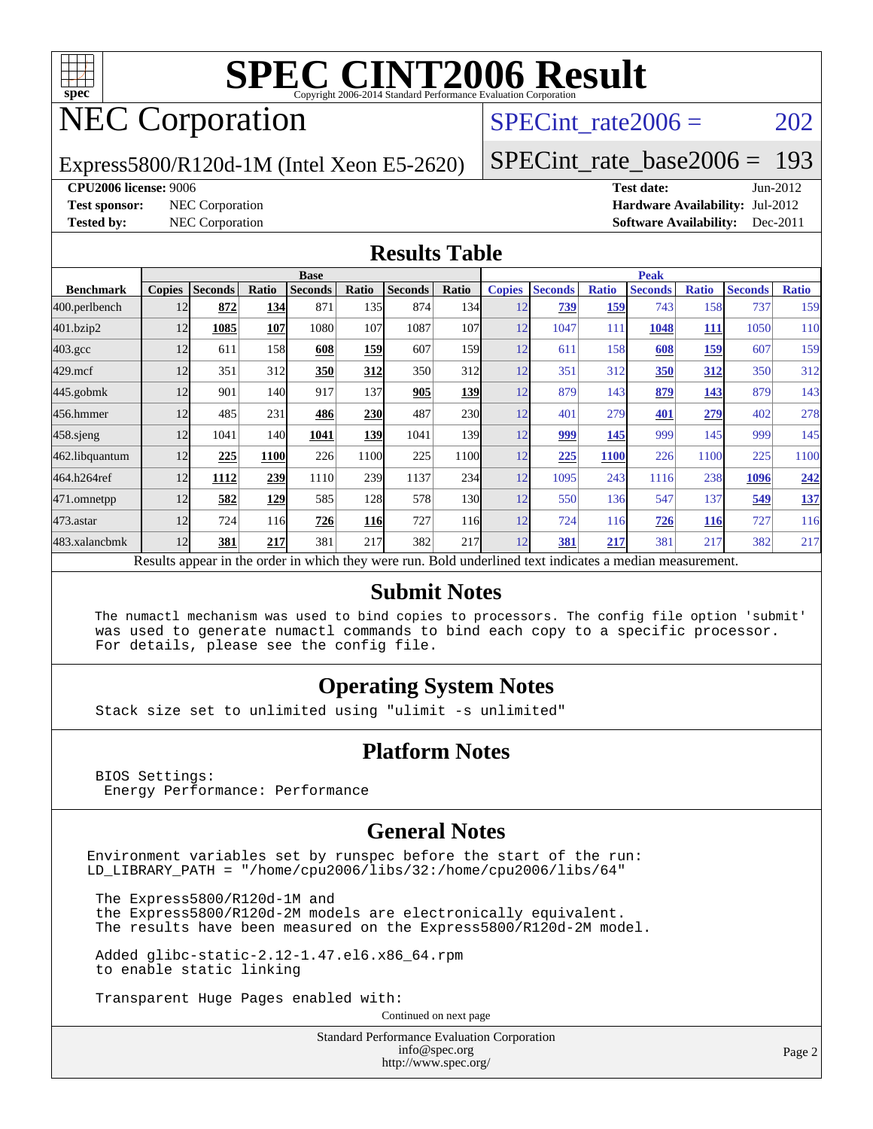

# NEC Corporation

SPECint rate $2006 = 202$ 

Express5800/R120d-1M (Intel Xeon E5-2620)

[SPECint\\_rate\\_base2006 =](http://www.spec.org/auto/cpu2006/Docs/result-fields.html#SPECintratebase2006) 193

**[CPU2006 license:](http://www.spec.org/auto/cpu2006/Docs/result-fields.html#CPU2006license)** 9006 **[Test date:](http://www.spec.org/auto/cpu2006/Docs/result-fields.html#Testdate)** Jun-2012 **[Test sponsor:](http://www.spec.org/auto/cpu2006/Docs/result-fields.html#Testsponsor)** NEC Corporation **[Hardware Availability:](http://www.spec.org/auto/cpu2006/Docs/result-fields.html#HardwareAvailability)** Jul-2012 **[Tested by:](http://www.spec.org/auto/cpu2006/Docs/result-fields.html#Testedby)** NEC Corporation **[Software Availability:](http://www.spec.org/auto/cpu2006/Docs/result-fields.html#SoftwareAvailability)** Dec-2011

#### **[Results Table](http://www.spec.org/auto/cpu2006/Docs/result-fields.html#ResultsTable)**

|                                                                                                          | <b>Base</b>   |                |       |                |            |                |                  | <b>Peak</b>   |                |              |                |              |                |              |
|----------------------------------------------------------------------------------------------------------|---------------|----------------|-------|----------------|------------|----------------|------------------|---------------|----------------|--------------|----------------|--------------|----------------|--------------|
| <b>Benchmark</b>                                                                                         | <b>Copies</b> | <b>Seconds</b> | Ratio | <b>Seconds</b> | Ratio      | <b>Seconds</b> | <b>Ratio</b>     | <b>Copies</b> | <b>Seconds</b> | <b>Ratio</b> | <b>Seconds</b> | <b>Ratio</b> | <b>Seconds</b> | <b>Ratio</b> |
| 400.perlbench                                                                                            | 12            | 872            | 134   | 871            | 135I       | 874            | 134              | 12            | 739            | 159          | 743            | 158          | 737            | 159          |
| 401.bzip2                                                                                                | 12            | 1085           | 107   | 1080           | 107        | 1087           | 107              | 12            | 1047           | 111          | 1048           | <u> 111</u>  | 1050           | 110          |
| $403.\mathrm{gcc}$                                                                                       | 12            | 611            | 158   | 608            | 159        | 607            | 159 <sub>l</sub> | 12            | 611            | 158          | 608            | 159          | 607            | 159          |
| $429$ .mcf                                                                                               | 12            | 351            | 312   | 350            | 312        | 350            | 312              | 12            | 351            | 312          | 350            | <u>312</u>   | 350            | 312          |
| $445$ .gobmk                                                                                             | 12            | 901            | 140   | 917            | 137        | 905            | 139              | 12            | 879            | 143          | 879            | 143          | 879            | 143          |
| 456.hmmer                                                                                                | 12            | 485            | 231   | 486            | <b>230</b> | 487            | 230              | 12            | 401            | 279          | 401            | 279          | 402            | 278          |
| $458$ .sjeng                                                                                             | 12            | 1041           | 140   | 1041           | 139        | 1041           | 139              | 12            | 999            | 145          | 999            | 145          | 999            | 145          |
| 462.libquantum                                                                                           | 12            | 225            | 1100  | 226            | 1100       | 225            | 1100             | 12            | 225            | <b>1100</b>  | 226            | 1100         | 225            | 1100         |
| 464.h264ref                                                                                              | 12            | 1112           | 239   | 1110           | 239        | 1137           | 234              | 12            | 1095           | 243          | 1116           | 238          | 1096           | 242          |
| 471.omnetpp                                                                                              | 12            | 582            | 129   | 585            | 128        | 578            | 130              | 12            | 550            | 136          | 547            | 137          | 549            | <u>137</u>   |
| $473.$ astar                                                                                             | 12            | 724            | 116   | 726            | <b>116</b> | 727            | <b>116</b>       | 12            | 724            | 116          | 726            | <b>116</b>   | 727            | 116          |
| 483.xalancbmk                                                                                            | 12            | 381            | 217   | 381            | 217        | 382            | 217              | 12            | 381            | 217          | 381            | 217          | 382            | 217          |
| Results appear in the order in which they were run. Bold underlined text indicates a median measurement. |               |                |       |                |            |                |                  |               |                |              |                |              |                |              |

#### **[Submit Notes](http://www.spec.org/auto/cpu2006/Docs/result-fields.html#SubmitNotes)**

 The numactl mechanism was used to bind copies to processors. The config file option 'submit' was used to generate numactl commands to bind each copy to a specific processor. For details, please see the config file.

#### **[Operating System Notes](http://www.spec.org/auto/cpu2006/Docs/result-fields.html#OperatingSystemNotes)**

Stack size set to unlimited using "ulimit -s unlimited"

#### **[Platform Notes](http://www.spec.org/auto/cpu2006/Docs/result-fields.html#PlatformNotes)**

 BIOS Settings: Energy Performance: Performance

#### **[General Notes](http://www.spec.org/auto/cpu2006/Docs/result-fields.html#GeneralNotes)**

Environment variables set by runspec before the start of the run: LD\_LIBRARY\_PATH = "/home/cpu2006/libs/32:/home/cpu2006/libs/64"

 The Express5800/R120d-1M and the Express5800/R120d-2M models are electronically equivalent. The results have been measured on the Express5800/R120d-2M model.

 Added glibc-static-2.12-1.47.el6.x86\_64.rpm to enable static linking

Transparent Huge Pages enabled with:

Continued on next page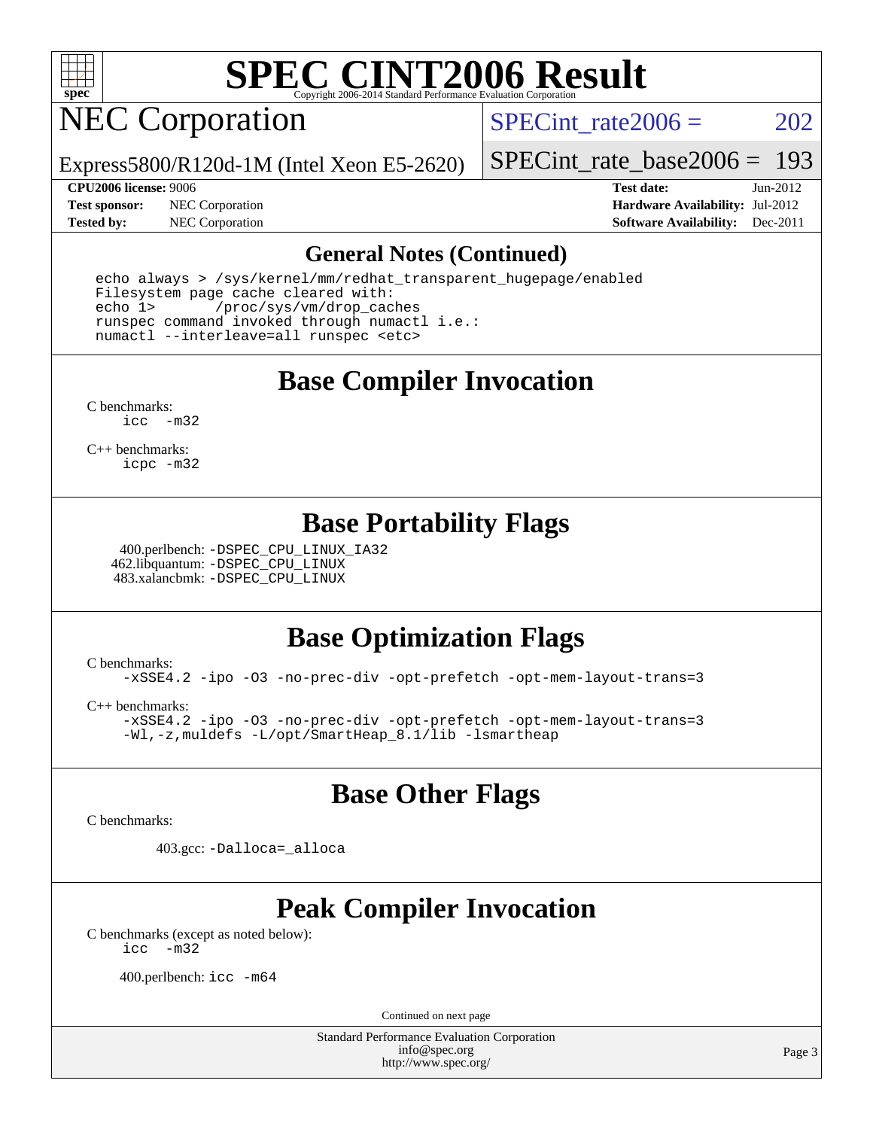

# NEC Corporation

SPECint rate $2006 = 202$ 

Express5800/R120d-1M (Intel Xeon E5-2620)

[SPECint\\_rate\\_base2006 =](http://www.spec.org/auto/cpu2006/Docs/result-fields.html#SPECintratebase2006) 193

**[Test sponsor:](http://www.spec.org/auto/cpu2006/Docs/result-fields.html#Testsponsor)** NEC Corporation **[Hardware Availability:](http://www.spec.org/auto/cpu2006/Docs/result-fields.html#HardwareAvailability)** Jul-2012

**[CPU2006 license:](http://www.spec.org/auto/cpu2006/Docs/result-fields.html#CPU2006license)** 9006 **[Test date:](http://www.spec.org/auto/cpu2006/Docs/result-fields.html#Testdate)** Jun-2012 **[Tested by:](http://www.spec.org/auto/cpu2006/Docs/result-fields.html#Testedby)** NEC Corporation **[Software Availability:](http://www.spec.org/auto/cpu2006/Docs/result-fields.html#SoftwareAvailability)** Dec-2011

#### **[General Notes \(Continued\)](http://www.spec.org/auto/cpu2006/Docs/result-fields.html#GeneralNotes)**

 echo always > /sys/kernel/mm/redhat\_transparent\_hugepage/enabled Filesystem page cache cleared with: echo 1> /proc/sys/vm/drop\_caches runspec command invoked through numactl i.e.: numactl --interleave=all runspec <etc>

**[Base Compiler Invocation](http://www.spec.org/auto/cpu2006/Docs/result-fields.html#BaseCompilerInvocation)**

[C benchmarks](http://www.spec.org/auto/cpu2006/Docs/result-fields.html#Cbenchmarks): [icc -m32](http://www.spec.org/cpu2006/results/res2012q3/cpu2006-20120712-23651.flags.html#user_CCbase_intel_icc_5ff4a39e364c98233615fdd38438c6f2)

[C++ benchmarks:](http://www.spec.org/auto/cpu2006/Docs/result-fields.html#CXXbenchmarks) [icpc -m32](http://www.spec.org/cpu2006/results/res2012q3/cpu2006-20120712-23651.flags.html#user_CXXbase_intel_icpc_4e5a5ef1a53fd332b3c49e69c3330699)

#### **[Base Portability Flags](http://www.spec.org/auto/cpu2006/Docs/result-fields.html#BasePortabilityFlags)**

 400.perlbench: [-DSPEC\\_CPU\\_LINUX\\_IA32](http://www.spec.org/cpu2006/results/res2012q3/cpu2006-20120712-23651.flags.html#b400.perlbench_baseCPORTABILITY_DSPEC_CPU_LINUX_IA32) 462.libquantum: [-DSPEC\\_CPU\\_LINUX](http://www.spec.org/cpu2006/results/res2012q3/cpu2006-20120712-23651.flags.html#b462.libquantum_baseCPORTABILITY_DSPEC_CPU_LINUX) 483.xalancbmk: [-DSPEC\\_CPU\\_LINUX](http://www.spec.org/cpu2006/results/res2012q3/cpu2006-20120712-23651.flags.html#b483.xalancbmk_baseCXXPORTABILITY_DSPEC_CPU_LINUX)

#### **[Base Optimization Flags](http://www.spec.org/auto/cpu2006/Docs/result-fields.html#BaseOptimizationFlags)**

[C benchmarks](http://www.spec.org/auto/cpu2006/Docs/result-fields.html#Cbenchmarks): [-xSSE4.2](http://www.spec.org/cpu2006/results/res2012q3/cpu2006-20120712-23651.flags.html#user_CCbase_f-xSSE42_f91528193cf0b216347adb8b939d4107) [-ipo](http://www.spec.org/cpu2006/results/res2012q3/cpu2006-20120712-23651.flags.html#user_CCbase_f-ipo) [-O3](http://www.spec.org/cpu2006/results/res2012q3/cpu2006-20120712-23651.flags.html#user_CCbase_f-O3) [-no-prec-div](http://www.spec.org/cpu2006/results/res2012q3/cpu2006-20120712-23651.flags.html#user_CCbase_f-no-prec-div) [-opt-prefetch](http://www.spec.org/cpu2006/results/res2012q3/cpu2006-20120712-23651.flags.html#user_CCbase_f-opt-prefetch) [-opt-mem-layout-trans=3](http://www.spec.org/cpu2006/results/res2012q3/cpu2006-20120712-23651.flags.html#user_CCbase_f-opt-mem-layout-trans_a7b82ad4bd7abf52556d4961a2ae94d5)

[C++ benchmarks:](http://www.spec.org/auto/cpu2006/Docs/result-fields.html#CXXbenchmarks) [-xSSE4.2](http://www.spec.org/cpu2006/results/res2012q3/cpu2006-20120712-23651.flags.html#user_CXXbase_f-xSSE42_f91528193cf0b216347adb8b939d4107) [-ipo](http://www.spec.org/cpu2006/results/res2012q3/cpu2006-20120712-23651.flags.html#user_CXXbase_f-ipo) [-O3](http://www.spec.org/cpu2006/results/res2012q3/cpu2006-20120712-23651.flags.html#user_CXXbase_f-O3) [-no-prec-div](http://www.spec.org/cpu2006/results/res2012q3/cpu2006-20120712-23651.flags.html#user_CXXbase_f-no-prec-div) [-opt-prefetch](http://www.spec.org/cpu2006/results/res2012q3/cpu2006-20120712-23651.flags.html#user_CXXbase_f-opt-prefetch) [-opt-mem-layout-trans=3](http://www.spec.org/cpu2006/results/res2012q3/cpu2006-20120712-23651.flags.html#user_CXXbase_f-opt-mem-layout-trans_a7b82ad4bd7abf52556d4961a2ae94d5) [-Wl,-z,muldefs](http://www.spec.org/cpu2006/results/res2012q3/cpu2006-20120712-23651.flags.html#user_CXXbase_link_force_multiple1_74079c344b956b9658436fd1b6dd3a8a) [-L/opt/SmartHeap\\_8.1/lib -lsmartheap](http://www.spec.org/cpu2006/results/res2012q3/cpu2006-20120712-23651.flags.html#user_CXXbase_SmartHeap_d5ba4dfc9de25d3c657c7de7476e66c5)

#### **[Base Other Flags](http://www.spec.org/auto/cpu2006/Docs/result-fields.html#BaseOtherFlags)**

[C benchmarks](http://www.spec.org/auto/cpu2006/Docs/result-fields.html#Cbenchmarks):

403.gcc: [-Dalloca=\\_alloca](http://www.spec.org/cpu2006/results/res2012q3/cpu2006-20120712-23651.flags.html#b403.gcc_baseEXTRA_CFLAGS_Dalloca_be3056838c12de2578596ca5467af7f3)

### **[Peak Compiler Invocation](http://www.spec.org/auto/cpu2006/Docs/result-fields.html#PeakCompilerInvocation)**

[C benchmarks \(except as noted below\)](http://www.spec.org/auto/cpu2006/Docs/result-fields.html#Cbenchmarksexceptasnotedbelow): [icc -m32](http://www.spec.org/cpu2006/results/res2012q3/cpu2006-20120712-23651.flags.html#user_CCpeak_intel_icc_5ff4a39e364c98233615fdd38438c6f2)

400.perlbench: [icc -m64](http://www.spec.org/cpu2006/results/res2012q3/cpu2006-20120712-23651.flags.html#user_peakCCLD400_perlbench_intel_icc_64bit_bda6cc9af1fdbb0edc3795bac97ada53)

Continued on next page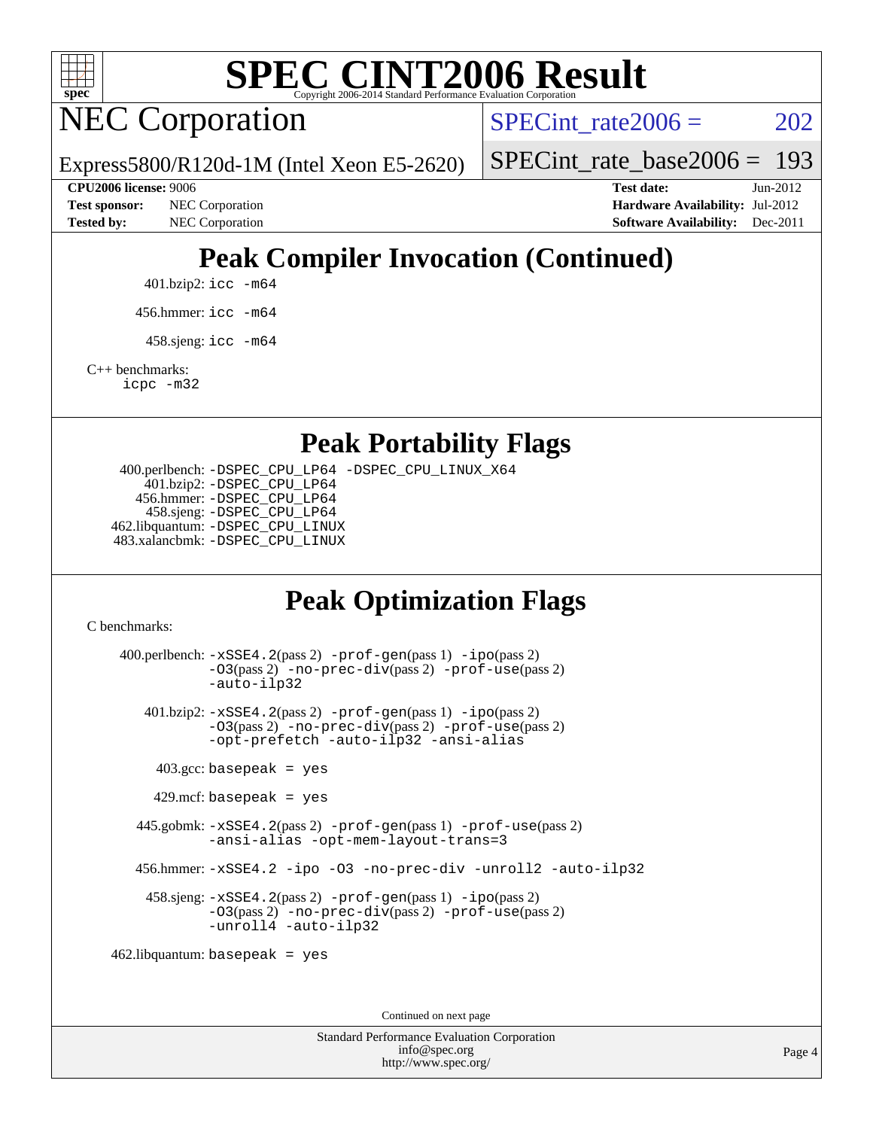

NEC Corporation

SPECint rate $2006 = 202$ 

Express5800/R120d-1M (Intel Xeon E5-2620)

[SPECint\\_rate\\_base2006 =](http://www.spec.org/auto/cpu2006/Docs/result-fields.html#SPECintratebase2006) 193

**[CPU2006 license:](http://www.spec.org/auto/cpu2006/Docs/result-fields.html#CPU2006license)** 9006 **[Test date:](http://www.spec.org/auto/cpu2006/Docs/result-fields.html#Testdate)** Jun-2012 **[Test sponsor:](http://www.spec.org/auto/cpu2006/Docs/result-fields.html#Testsponsor)** NEC Corporation **[Hardware Availability:](http://www.spec.org/auto/cpu2006/Docs/result-fields.html#HardwareAvailability)** Jul-2012 **[Tested by:](http://www.spec.org/auto/cpu2006/Docs/result-fields.html#Testedby)** NEC Corporation **[Software Availability:](http://www.spec.org/auto/cpu2006/Docs/result-fields.html#SoftwareAvailability)** Dec-2011

### **[Peak Compiler Invocation \(Continued\)](http://www.spec.org/auto/cpu2006/Docs/result-fields.html#PeakCompilerInvocation)**

401.bzip2: [icc -m64](http://www.spec.org/cpu2006/results/res2012q3/cpu2006-20120712-23651.flags.html#user_peakCCLD401_bzip2_intel_icc_64bit_bda6cc9af1fdbb0edc3795bac97ada53)

456.hmmer: [icc -m64](http://www.spec.org/cpu2006/results/res2012q3/cpu2006-20120712-23651.flags.html#user_peakCCLD456_hmmer_intel_icc_64bit_bda6cc9af1fdbb0edc3795bac97ada53)

 $458 \text{.}$ sjeng: icc  $-\text{m64}$ 

[C++ benchmarks:](http://www.spec.org/auto/cpu2006/Docs/result-fields.html#CXXbenchmarks)

[icpc -m32](http://www.spec.org/cpu2006/results/res2012q3/cpu2006-20120712-23651.flags.html#user_CXXpeak_intel_icpc_4e5a5ef1a53fd332b3c49e69c3330699)

**[Peak Portability Flags](http://www.spec.org/auto/cpu2006/Docs/result-fields.html#PeakPortabilityFlags)**

 400.perlbench: [-DSPEC\\_CPU\\_LP64](http://www.spec.org/cpu2006/results/res2012q3/cpu2006-20120712-23651.flags.html#b400.perlbench_peakCPORTABILITY_DSPEC_CPU_LP64) [-DSPEC\\_CPU\\_LINUX\\_X64](http://www.spec.org/cpu2006/results/res2012q3/cpu2006-20120712-23651.flags.html#b400.perlbench_peakCPORTABILITY_DSPEC_CPU_LINUX_X64) 401.bzip2: [-DSPEC\\_CPU\\_LP64](http://www.spec.org/cpu2006/results/res2012q3/cpu2006-20120712-23651.flags.html#suite_peakCPORTABILITY401_bzip2_DSPEC_CPU_LP64) 456.hmmer: [-DSPEC\\_CPU\\_LP64](http://www.spec.org/cpu2006/results/res2012q3/cpu2006-20120712-23651.flags.html#suite_peakCPORTABILITY456_hmmer_DSPEC_CPU_LP64) 458.sjeng: [-DSPEC\\_CPU\\_LP64](http://www.spec.org/cpu2006/results/res2012q3/cpu2006-20120712-23651.flags.html#suite_peakCPORTABILITY458_sjeng_DSPEC_CPU_LP64) 462.libquantum: [-DSPEC\\_CPU\\_LINUX](http://www.spec.org/cpu2006/results/res2012q3/cpu2006-20120712-23651.flags.html#b462.libquantum_peakCPORTABILITY_DSPEC_CPU_LINUX) 483.xalancbmk: [-DSPEC\\_CPU\\_LINUX](http://www.spec.org/cpu2006/results/res2012q3/cpu2006-20120712-23651.flags.html#b483.xalancbmk_peakCXXPORTABILITY_DSPEC_CPU_LINUX)

### **[Peak Optimization Flags](http://www.spec.org/auto/cpu2006/Docs/result-fields.html#PeakOptimizationFlags)**

[C benchmarks](http://www.spec.org/auto/cpu2006/Docs/result-fields.html#Cbenchmarks):

 400.perlbench: [-xSSE4.2](http://www.spec.org/cpu2006/results/res2012q3/cpu2006-20120712-23651.flags.html#user_peakPASS2_CFLAGSPASS2_LDCFLAGS400_perlbench_f-xSSE42_f91528193cf0b216347adb8b939d4107)(pass 2) [-prof-gen](http://www.spec.org/cpu2006/results/res2012q3/cpu2006-20120712-23651.flags.html#user_peakPASS1_CFLAGSPASS1_LDCFLAGS400_perlbench_prof_gen_e43856698f6ca7b7e442dfd80e94a8fc)(pass 1) [-ipo](http://www.spec.org/cpu2006/results/res2012q3/cpu2006-20120712-23651.flags.html#user_peakPASS2_CFLAGSPASS2_LDCFLAGS400_perlbench_f-ipo)(pass 2) [-O3](http://www.spec.org/cpu2006/results/res2012q3/cpu2006-20120712-23651.flags.html#user_peakPASS2_CFLAGSPASS2_LDCFLAGS400_perlbench_f-O3)(pass 2) [-no-prec-div](http://www.spec.org/cpu2006/results/res2012q3/cpu2006-20120712-23651.flags.html#user_peakPASS2_CFLAGSPASS2_LDCFLAGS400_perlbench_f-no-prec-div)(pass 2) [-prof-use](http://www.spec.org/cpu2006/results/res2012q3/cpu2006-20120712-23651.flags.html#user_peakPASS2_CFLAGSPASS2_LDCFLAGS400_perlbench_prof_use_bccf7792157ff70d64e32fe3e1250b55)(pass 2) [-auto-ilp32](http://www.spec.org/cpu2006/results/res2012q3/cpu2006-20120712-23651.flags.html#user_peakCOPTIMIZE400_perlbench_f-auto-ilp32) 401.bzip2: [-xSSE4.2](http://www.spec.org/cpu2006/results/res2012q3/cpu2006-20120712-23651.flags.html#user_peakPASS2_CFLAGSPASS2_LDCFLAGS401_bzip2_f-xSSE42_f91528193cf0b216347adb8b939d4107)(pass 2) [-prof-gen](http://www.spec.org/cpu2006/results/res2012q3/cpu2006-20120712-23651.flags.html#user_peakPASS1_CFLAGSPASS1_LDCFLAGS401_bzip2_prof_gen_e43856698f6ca7b7e442dfd80e94a8fc)(pass 1) [-ipo](http://www.spec.org/cpu2006/results/res2012q3/cpu2006-20120712-23651.flags.html#user_peakPASS2_CFLAGSPASS2_LDCFLAGS401_bzip2_f-ipo)(pass 2) [-O3](http://www.spec.org/cpu2006/results/res2012q3/cpu2006-20120712-23651.flags.html#user_peakPASS2_CFLAGSPASS2_LDCFLAGS401_bzip2_f-O3)(pass 2) [-no-prec-div](http://www.spec.org/cpu2006/results/res2012q3/cpu2006-20120712-23651.flags.html#user_peakPASS2_CFLAGSPASS2_LDCFLAGS401_bzip2_f-no-prec-div)(pass 2) [-prof-use](http://www.spec.org/cpu2006/results/res2012q3/cpu2006-20120712-23651.flags.html#user_peakPASS2_CFLAGSPASS2_LDCFLAGS401_bzip2_prof_use_bccf7792157ff70d64e32fe3e1250b55)(pass 2) [-opt-prefetch](http://www.spec.org/cpu2006/results/res2012q3/cpu2006-20120712-23651.flags.html#user_peakCOPTIMIZE401_bzip2_f-opt-prefetch) [-auto-ilp32](http://www.spec.org/cpu2006/results/res2012q3/cpu2006-20120712-23651.flags.html#user_peakCOPTIMIZE401_bzip2_f-auto-ilp32) [-ansi-alias](http://www.spec.org/cpu2006/results/res2012q3/cpu2006-20120712-23651.flags.html#user_peakCOPTIMIZE401_bzip2_f-ansi-alias)  $403.\text{gcc: basepeak}$  = yes  $429$ .mcf: basepeak = yes 445.gobmk: [-xSSE4.2](http://www.spec.org/cpu2006/results/res2012q3/cpu2006-20120712-23651.flags.html#user_peakPASS2_CFLAGSPASS2_LDCFLAGS445_gobmk_f-xSSE42_f91528193cf0b216347adb8b939d4107)(pass 2) [-prof-gen](http://www.spec.org/cpu2006/results/res2012q3/cpu2006-20120712-23651.flags.html#user_peakPASS1_CFLAGSPASS1_LDCFLAGS445_gobmk_prof_gen_e43856698f6ca7b7e442dfd80e94a8fc)(pass 1) [-prof-use](http://www.spec.org/cpu2006/results/res2012q3/cpu2006-20120712-23651.flags.html#user_peakPASS2_CFLAGSPASS2_LDCFLAGS445_gobmk_prof_use_bccf7792157ff70d64e32fe3e1250b55)(pass 2) [-ansi-alias](http://www.spec.org/cpu2006/results/res2012q3/cpu2006-20120712-23651.flags.html#user_peakCOPTIMIZE445_gobmk_f-ansi-alias) [-opt-mem-layout-trans=3](http://www.spec.org/cpu2006/results/res2012q3/cpu2006-20120712-23651.flags.html#user_peakCOPTIMIZE445_gobmk_f-opt-mem-layout-trans_a7b82ad4bd7abf52556d4961a2ae94d5) 456.hmmer: [-xSSE4.2](http://www.spec.org/cpu2006/results/res2012q3/cpu2006-20120712-23651.flags.html#user_peakCOPTIMIZE456_hmmer_f-xSSE42_f91528193cf0b216347adb8b939d4107) [-ipo](http://www.spec.org/cpu2006/results/res2012q3/cpu2006-20120712-23651.flags.html#user_peakCOPTIMIZE456_hmmer_f-ipo) [-O3](http://www.spec.org/cpu2006/results/res2012q3/cpu2006-20120712-23651.flags.html#user_peakCOPTIMIZE456_hmmer_f-O3) [-no-prec-div](http://www.spec.org/cpu2006/results/res2012q3/cpu2006-20120712-23651.flags.html#user_peakCOPTIMIZE456_hmmer_f-no-prec-div) [-unroll2](http://www.spec.org/cpu2006/results/res2012q3/cpu2006-20120712-23651.flags.html#user_peakCOPTIMIZE456_hmmer_f-unroll_784dae83bebfb236979b41d2422d7ec2) [-auto-ilp32](http://www.spec.org/cpu2006/results/res2012q3/cpu2006-20120712-23651.flags.html#user_peakCOPTIMIZE456_hmmer_f-auto-ilp32) 458.sjeng: [-xSSE4.2](http://www.spec.org/cpu2006/results/res2012q3/cpu2006-20120712-23651.flags.html#user_peakPASS2_CFLAGSPASS2_LDCFLAGS458_sjeng_f-xSSE42_f91528193cf0b216347adb8b939d4107)(pass 2) [-prof-gen](http://www.spec.org/cpu2006/results/res2012q3/cpu2006-20120712-23651.flags.html#user_peakPASS1_CFLAGSPASS1_LDCFLAGS458_sjeng_prof_gen_e43856698f6ca7b7e442dfd80e94a8fc)(pass 1) [-ipo](http://www.spec.org/cpu2006/results/res2012q3/cpu2006-20120712-23651.flags.html#user_peakPASS2_CFLAGSPASS2_LDCFLAGS458_sjeng_f-ipo)(pass 2) [-O3](http://www.spec.org/cpu2006/results/res2012q3/cpu2006-20120712-23651.flags.html#user_peakPASS2_CFLAGSPASS2_LDCFLAGS458_sjeng_f-O3)(pass 2) [-no-prec-div](http://www.spec.org/cpu2006/results/res2012q3/cpu2006-20120712-23651.flags.html#user_peakPASS2_CFLAGSPASS2_LDCFLAGS458_sjeng_f-no-prec-div)(pass 2) [-prof-use](http://www.spec.org/cpu2006/results/res2012q3/cpu2006-20120712-23651.flags.html#user_peakPASS2_CFLAGSPASS2_LDCFLAGS458_sjeng_prof_use_bccf7792157ff70d64e32fe3e1250b55)(pass 2) [-unroll4](http://www.spec.org/cpu2006/results/res2012q3/cpu2006-20120712-23651.flags.html#user_peakCOPTIMIZE458_sjeng_f-unroll_4e5e4ed65b7fd20bdcd365bec371b81f) [-auto-ilp32](http://www.spec.org/cpu2006/results/res2012q3/cpu2006-20120712-23651.flags.html#user_peakCOPTIMIZE458_sjeng_f-auto-ilp32) 462.libquantum: basepeak = yes

Continued on next page